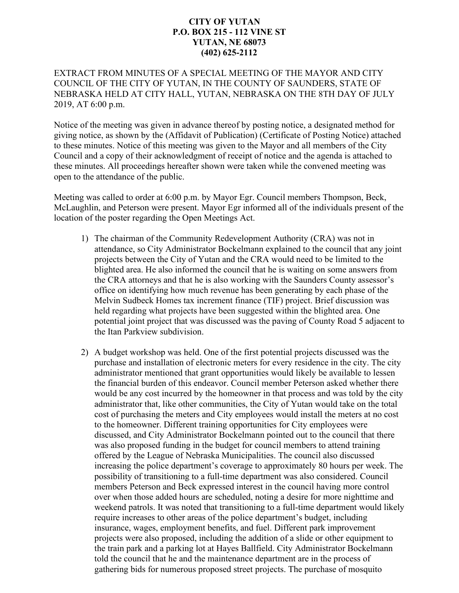## **CITY OF YUTAN P.O. BOX 215 - 112 VINE ST YUTAN, NE 68073 (402) 625-2112**

## EXTRACT FROM MINUTES OF A SPECIAL MEETING OF THE MAYOR AND CITY COUNCIL OF THE CITY OF YUTAN, IN THE COUNTY OF SAUNDERS, STATE OF NEBRASKA HELD AT CITY HALL, YUTAN, NEBRASKA ON THE 8TH DAY OF JULY 2019, AT 6:00 p.m.

Notice of the meeting was given in advance thereof by posting notice, a designated method for giving notice, as shown by the (Affidavit of Publication) (Certificate of Posting Notice) attached to these minutes. Notice of this meeting was given to the Mayor and all members of the City Council and a copy of their acknowledgment of receipt of notice and the agenda is attached to these minutes. All proceedings hereafter shown were taken while the convened meeting was open to the attendance of the public.

Meeting was called to order at 6:00 p.m. by Mayor Egr. Council members Thompson, Beck, McLaughlin, and Peterson were present. Mayor Egr informed all of the individuals present of the location of the poster regarding the Open Meetings Act.

- 1) The chairman of the Community Redevelopment Authority (CRA) was not in attendance, so City Administrator Bockelmann explained to the council that any joint projects between the City of Yutan and the CRA would need to be limited to the blighted area. He also informed the council that he is waiting on some answers from the CRA attorneys and that he is also working with the Saunders County assessor's office on identifying how much revenue has been generating by each phase of the Melvin Sudbeck Homes tax increment finance (TIF) project. Brief discussion was held regarding what projects have been suggested within the blighted area. One potential joint project that was discussed was the paving of County Road 5 adjacent to the Itan Parkview subdivision.
- 2) A budget workshop was held. One of the first potential projects discussed was the purchase and installation of electronic meters for every residence in the city. The city administrator mentioned that grant opportunities would likely be available to lessen the financial burden of this endeavor. Council member Peterson asked whether there would be any cost incurred by the homeowner in that process and was told by the city administrator that, like other communities, the City of Yutan would take on the total cost of purchasing the meters and City employees would install the meters at no cost to the homeowner. Different training opportunities for City employees were discussed, and City Administrator Bockelmann pointed out to the council that there was also proposed funding in the budget for council members to attend training offered by the League of Nebraska Municipalities. The council also discussed increasing the police department's coverage to approximately 80 hours per week. The possibility of transitioning to a full-time department was also considered. Council members Peterson and Beck expressed interest in the council having more control over when those added hours are scheduled, noting a desire for more nighttime and weekend patrols. It was noted that transitioning to a full-time department would likely require increases to other areas of the police department's budget, including insurance, wages, employment benefits, and fuel. Different park improvement projects were also proposed, including the addition of a slide or other equipment to the train park and a parking lot at Hayes Ballfield. City Administrator Bockelmann told the council that he and the maintenance department are in the process of gathering bids for numerous proposed street projects. The purchase of mosquito